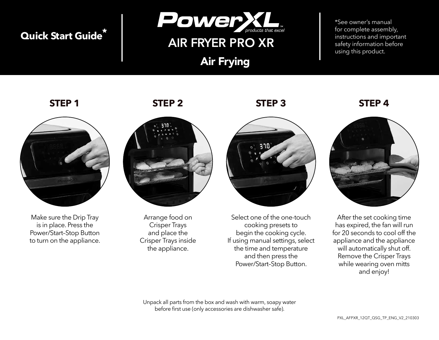## **Quick Start Guide\***



## **AIR FRYER PRO XR**

Air Frying

\*See owner's manual for complete assembly, instructions and important safety information before using this product.



Make sure the Drip Tray is in place. Press the Power/Start–Stop Button to turn on the appliance.

**STEP 1 STEP 2 STEP 3 STEP 4**



Arrange food on Crisper Trays and place the Crisper Trays inside the appliance.



Select one of the one-touch cooking presets to begin the cooking cycle. If using manual settings, select the time and temperature and then press the Power/Start–Stop Button.



After the set cooking time has expired, the fan will run for 20 seconds to cool off the appliance and the appliance will automatically shut off. Remove the Crisper Trays while wearing oven mitts and enjoy!

Unpack all parts from the box and wash with warm, soapy water before first use (only accessories are dishwasher safe).